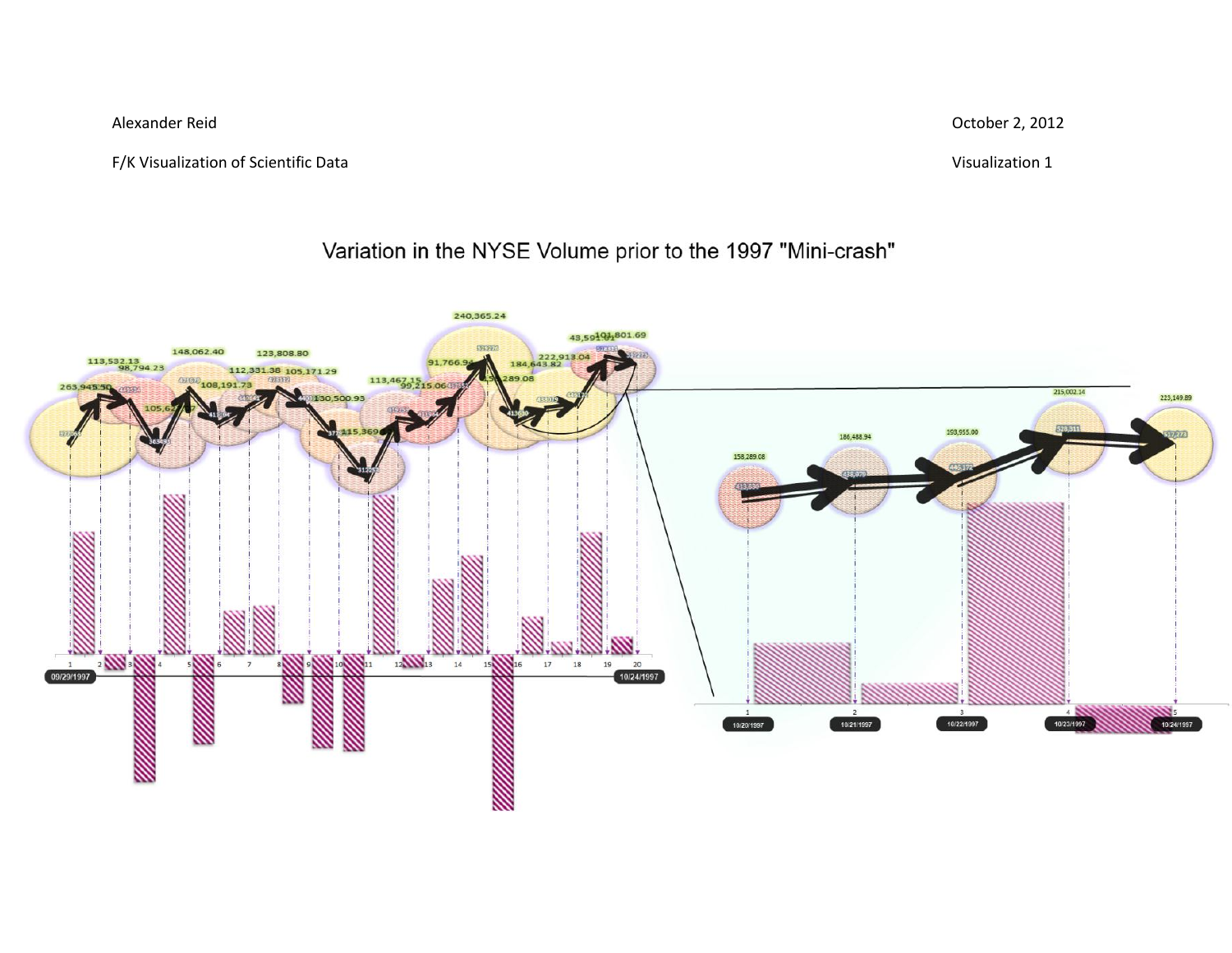F/K Visualization of Scientific Data Visualization 1

Alexander Reid October 2, 2012

## Variation in the NYSE Volume prior to the 1997 "Mini-crash"

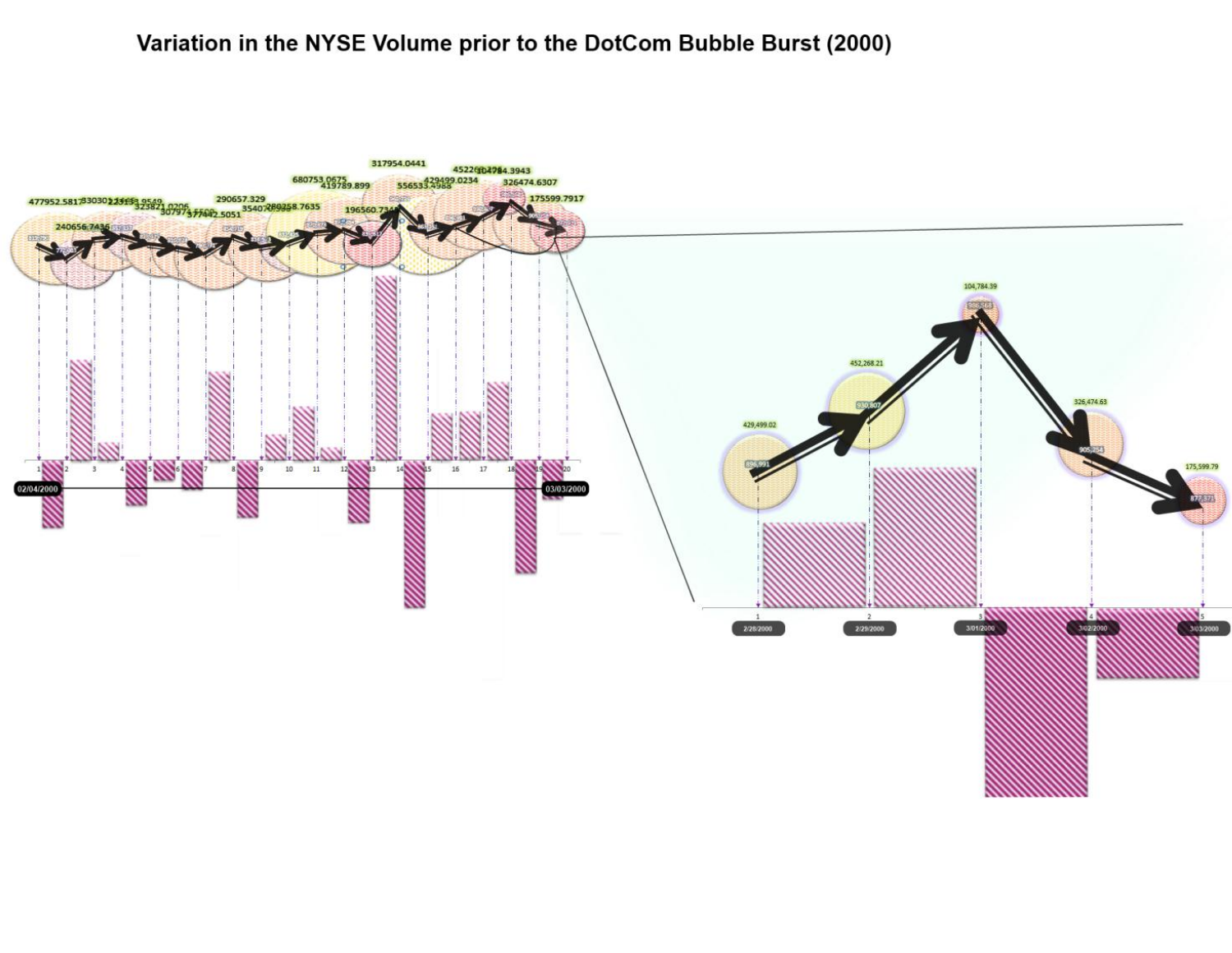## Variation in the NYSE Volume prior to the DotCom Bubble Burst (2000)

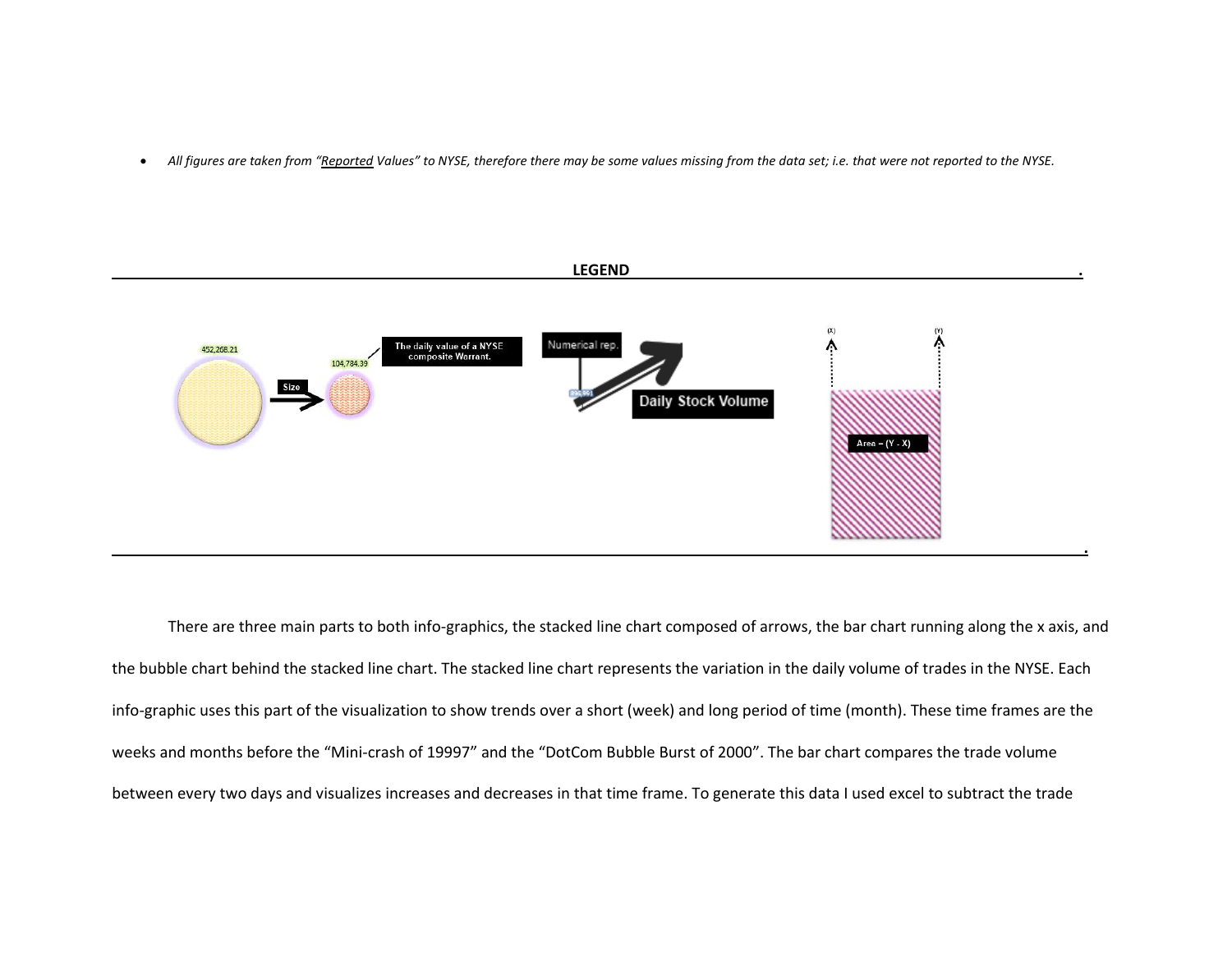. All figures are taken from "Reported Values" to NYSE, therefore there may be some values missing from the data set; i.e. that were not reported to the NYSE.



There are three main parts to both info-graphics, the stacked line chart composed of arrows, the bar chart running along the x axis, and the bubble chart behind the stacked line chart. The stacked line chart represents the variation in the daily volume of trades in the NYSE. Each info-graphic uses this part of the visualization to show trends over a short (week) and long period of time (month). These time frames are the weeks and months before the "Mini-crash of 19997" and the "DotCom Bubble Burst of 2000". The bar chart compares the trade volume between every two days and visualizes increases and decreases in that time frame. To generate this data I used excel to subtract the trade